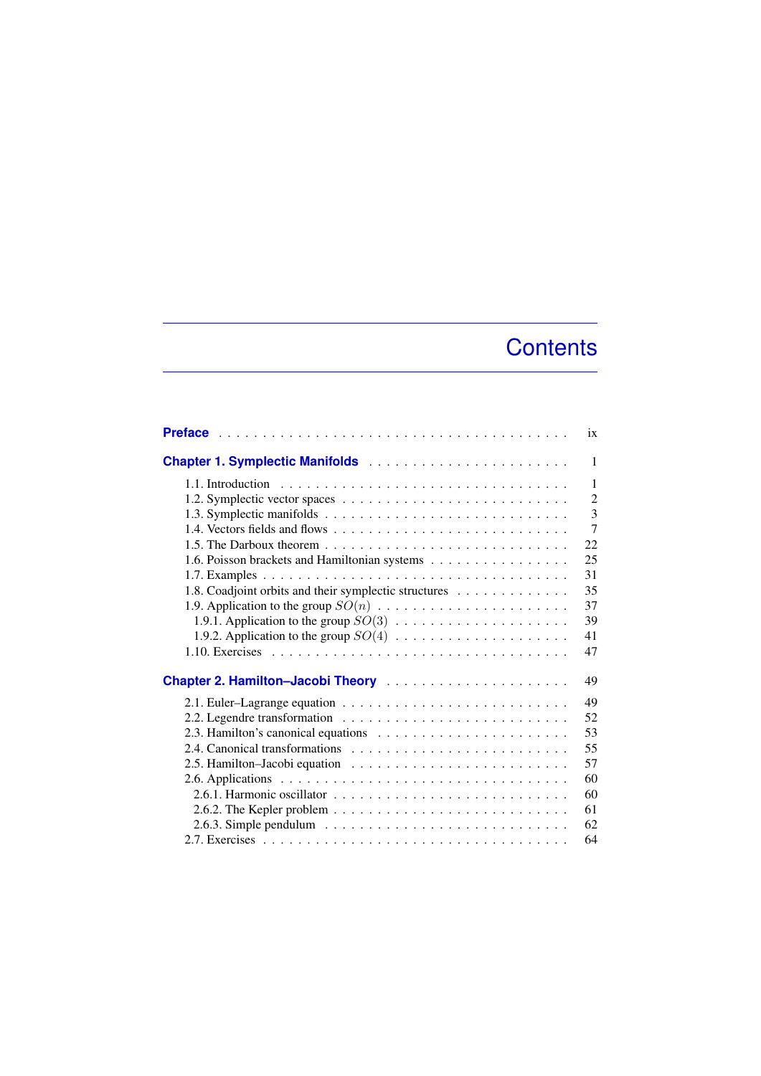## **Contents**

|                                                                                                   | ix             |
|---------------------------------------------------------------------------------------------------|----------------|
|                                                                                                   | 1              |
|                                                                                                   | 1              |
|                                                                                                   | $\overline{2}$ |
|                                                                                                   | 3              |
|                                                                                                   | $\overline{7}$ |
| 1.5. The Darboux theorem $\ldots \ldots \ldots \ldots \ldots \ldots \ldots \ldots \ldots$         | 22             |
| 1.6. Poisson brackets and Hamiltonian systems                                                     | 25             |
|                                                                                                   | 31             |
| 1.8. Coadjoint orbits and their symplectic structures                                             | 35             |
|                                                                                                   | 37             |
|                                                                                                   | 39             |
|                                                                                                   | 41             |
|                                                                                                   | 47             |
|                                                                                                   | 49             |
|                                                                                                   | 49             |
|                                                                                                   | 52             |
|                                                                                                   | 53             |
|                                                                                                   | 55             |
|                                                                                                   | 57             |
|                                                                                                   | 60             |
|                                                                                                   | 60             |
| 2.6.2. The Kepler problem $\ldots \ldots \ldots \ldots \ldots \ldots \ldots \ldots \ldots \ldots$ | 61             |
|                                                                                                   | 62             |
|                                                                                                   | 64             |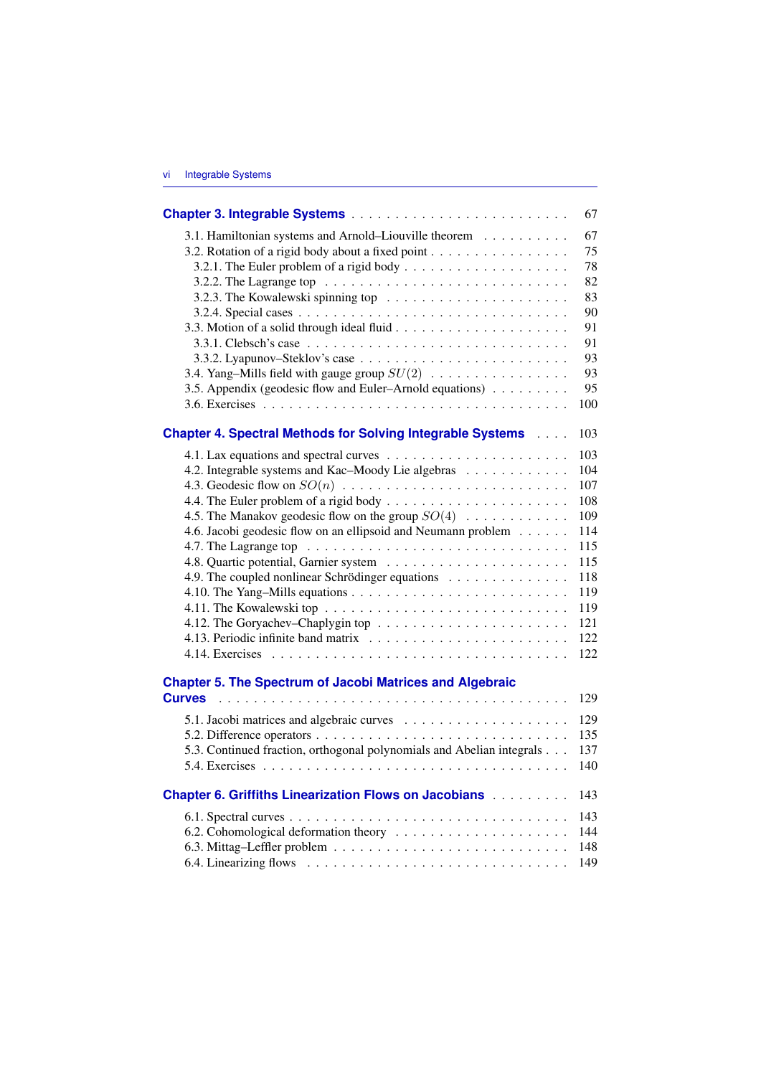|                                                                                                                                    | 67         |
|------------------------------------------------------------------------------------------------------------------------------------|------------|
| 3.1. Hamiltonian systems and Arnold-Liouville theorem                                                                              | 67         |
| 3.2. Rotation of a rigid body about a fixed point                                                                                  | 75         |
|                                                                                                                                    | 78         |
| 3.2.2. The Lagrange top $\ldots \ldots \ldots \ldots \ldots \ldots \ldots \ldots$                                                  | 82         |
|                                                                                                                                    | 83         |
|                                                                                                                                    | 90         |
|                                                                                                                                    | 91         |
|                                                                                                                                    | 91         |
|                                                                                                                                    | 93         |
| 3.4. Yang–Mills field with gauge group $SU(2)$                                                                                     | 93         |
| 3.5. Appendix (geodesic flow and Euler-Arnold equations)                                                                           | 95         |
|                                                                                                                                    | 100        |
| <b>Chapter 4. Spectral Methods for Solving Integrable Systems Allen Chapter 4. Spectral Methods for Solving Integrable Systems</b> | 103        |
|                                                                                                                                    |            |
| 4.2. Integrable systems and Kac-Moody Lie algebras                                                                                 | 103<br>104 |
|                                                                                                                                    | 107        |
|                                                                                                                                    | 108        |
| 4.5. The Manakov geodesic flow on the group $SO(4)$                                                                                | 109        |
| 4.6. Jacobi geodesic flow on an ellipsoid and Neumann problem                                                                      | 114        |
|                                                                                                                                    | 115        |
|                                                                                                                                    | 115        |
| 4.9. The coupled nonlinear Schrödinger equations                                                                                   | 118        |
|                                                                                                                                    | 119        |
|                                                                                                                                    | 119        |
|                                                                                                                                    | 121        |
|                                                                                                                                    | 122        |
|                                                                                                                                    | 122        |
|                                                                                                                                    |            |
| <b>Chapter 5. The Spectrum of Jacobi Matrices and Algebraic</b>                                                                    |            |
| <b>Curves</b>                                                                                                                      | 129        |
|                                                                                                                                    | 129        |
|                                                                                                                                    | 135        |
| 5.3. Continued fraction, orthogonal polynomials and Abelian integrals                                                              | 137        |
|                                                                                                                                    | 140        |
| <b>Chapter 6. Griffiths Linearization Flows on Jacobians Administration</b>                                                        | 143        |
|                                                                                                                                    | 143        |
|                                                                                                                                    | 144        |
|                                                                                                                                    | 148        |
|                                                                                                                                    | 149        |
|                                                                                                                                    |            |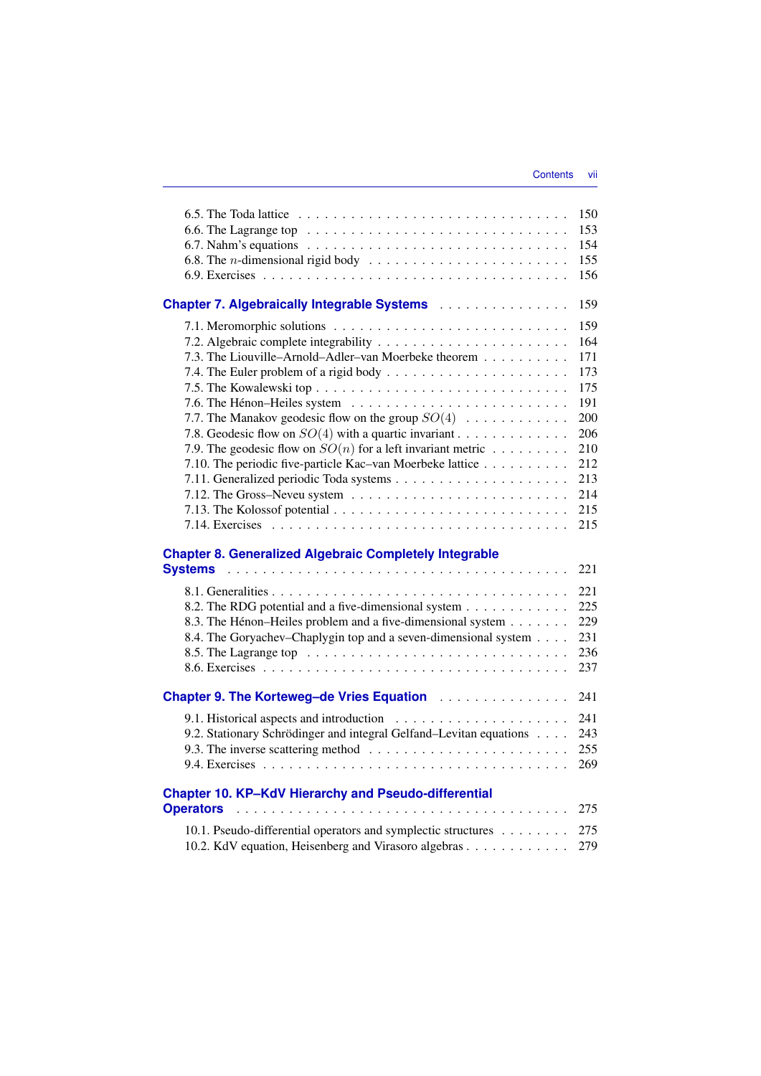|                                                                                                     | 150 |
|-----------------------------------------------------------------------------------------------------|-----|
| 6.6. The Lagrange top $\ldots \ldots \ldots \ldots \ldots \ldots \ldots \ldots \ldots \ldots$       | 153 |
|                                                                                                     | 154 |
| 6.8. The <i>n</i> -dimensional rigid body $\ldots \ldots \ldots \ldots \ldots \ldots \ldots \ldots$ | 155 |
|                                                                                                     | 156 |
| <b>Chapter 7. Algebraically Integrable Systems</b>                                                  | 159 |
|                                                                                                     | 159 |
|                                                                                                     | 164 |
| 7.3. The Liouville-Arnold-Adler-van Moerbeke theorem                                                | 171 |
|                                                                                                     | 173 |
|                                                                                                     | 175 |
|                                                                                                     | 191 |
| 7.7. The Manakov geodesic flow on the group $SO(4)$                                                 | 200 |
| 7.8. Geodesic flow on $SO(4)$ with a quartic invariant                                              | 206 |
| 7.9. The geodesic flow on $SO(n)$ for a left invariant metric                                       | 210 |
| 7.10. The periodic five-particle Kac-van Moerbeke lattice                                           | 212 |
|                                                                                                     | 213 |
|                                                                                                     | 214 |
|                                                                                                     | 215 |
|                                                                                                     | 215 |
| <b>Chapter 8. Generalized Algebraic Completely Integrable</b>                                       |     |
| <b>Systems</b>                                                                                      | 221 |
|                                                                                                     | 221 |
| 8.2. The RDG potential and a five-dimensional system                                                | 225 |
| 8.3. The Hénon-Heiles problem and a five-dimensional system                                         | 229 |
| 8.4. The Goryachev–Chaplygin top and a seven-dimensional system                                     | 231 |
|                                                                                                     |     |
|                                                                                                     | 236 |
|                                                                                                     | 237 |
| Chapter 9. The Korteweg-de Vries Equation                                                           | 241 |
|                                                                                                     | 241 |
|                                                                                                     | 243 |
| 9.2. Stationary Schrödinger and integral Gelfand-Levitan equations                                  | 255 |
|                                                                                                     | 269 |
| <b>Chapter 10. KP-KdV Hierarchy and Pseudo-differential</b>                                         |     |
| <b>Operators</b>                                                                                    | 275 |
| 10.1. Pseudo-differential operators and symplectic structures                                       | 275 |